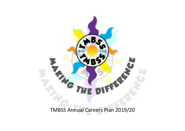

TMBSS Annual Careers Plan 2019/20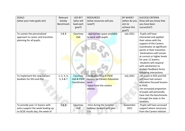| <b>GOALS</b><br>(what your main goals are)                                                               | Relevant<br>Gatsby<br><b>Benchmark</b> | LED BY?<br>(who will<br>lead each<br>goal?) | <b>RESOURCES</b><br>(what resources will you<br>need?)                                                  | BY WHEN?<br>(when do you<br>aim to<br>achieve this<br>goal?) | <b>SUCCESS CRITERIA</b><br>(how will you know that<br>you have been<br>successful?)                                                                                                                                                                                                                                                                    |
|----------------------------------------------------------------------------------------------------------|----------------------------------------|---------------------------------------------|---------------------------------------------------------------------------------------------------------|--------------------------------------------------------------|--------------------------------------------------------------------------------------------------------------------------------------------------------------------------------------------------------------------------------------------------------------------------------------------------------------------------------------------------------|
| To sustain the personalised<br>approach to career and transition<br>planning for all pupils.             | 3 & 8                                  | Courtney<br><b>Hall</b>                     | -appropriate space available<br>to work with pupils.                                                    | <b>July 2021</b>                                             | -Pupils will have<br>interacted and applied<br>their selves with the<br>support of the Careers<br>Coordinator at significant<br>points in their transition.<br>-Destinations will remain<br>at current or higher levels<br>for year 11 leavers.<br>-Students will respond<br>with satisfaction to<br>student feedback forms<br>following interactions. |
| To implement the new Careers<br>booklets for KS3 and KS4                                                 | 1, 2, 3, 4,<br>5, 6 & 7                | Courtney<br>Hall & PSHE<br>Coordinator      | -dedicated time in PSHE<br>lessons for Careers Education<br>work<br>-input from the careers<br>adviser. | <b>July 2021</b>                                             | -All pupils in KS3 and KS4<br>will have had careers<br>education focused lessons<br>in PSHE.<br>-An increased proportion<br>of pupils will personally<br>have met the benchmarks<br>through the tasks in the<br>booklets.                                                                                                                              |
| To provide year 11 leavers with<br>extra support the week leading up<br>to GCSE results day, the week of | 3&8                                    | Courtney<br>Hall                            | -time during the Summer<br>holidays to work with year<br>11s.                                           | September<br>2021                                            | -Pupils will have accessed<br>support where necessary<br>from the Careers Adviser.                                                                                                                                                                                                                                                                     |